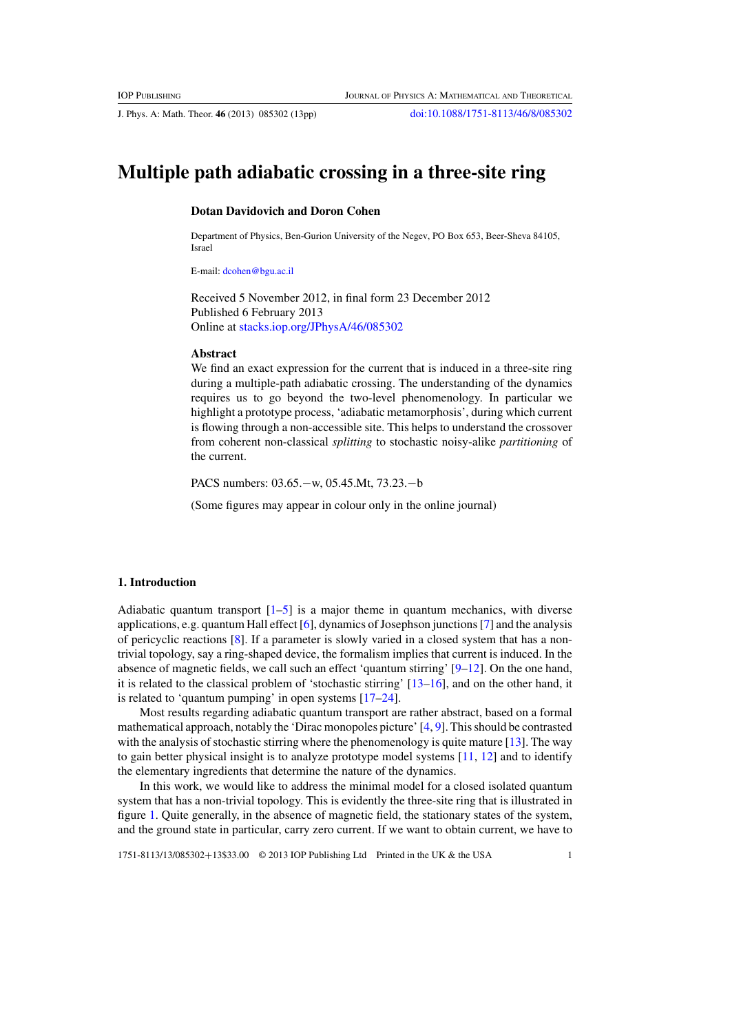J. Phys. A: Math. Theor. **46** (2013) 085302 (13pp) [doi:10.1088/1751-8113/46/8/085302](http://dx.doi.org/10.1088/1751-8113/46/8/085302)

# **Multiple path adiabatic crossing in a three-site ring**

### **Dotan Davidovich and Doron Cohen**

Department of Physics, Ben-Gurion University of the Negev, PO Box 653, Beer-Sheva 84105, Israel

E-mail: [dcohen@bgu.ac.il](mailto:dcohen@bgu.ac.il)

Received 5 November 2012, in final form 23 December 2012 Published 6 February 2013 Online at [stacks.iop.org/JPhysA/46/085302](http://stacks.iop.org/JPhysA/46/085302)

### **Abstract**

We find an exact expression for the current that is induced in a three-site ring during a multiple-path adiabatic crossing. The understanding of the dynamics requires us to go beyond the two-level phenomenology. In particular we highlight a prototype process, 'adiabatic metamorphosis', during which current is flowing through a non-accessible site. This helps to understand the crossover from coherent non-classical *splitting* to stochastic noisy-alike *partitioning* of the current.

PACS numbers: 03.65.−w, 05.45.Mt, 73.23.−b

(Some figures may appear in colour only in the online journal)

### **1. Introduction**

Adiabatic quantum transport  $[1-5]$  is a major theme in quantum mechanics, with diverse applications, e.g. quantum Hall effect [\[6](#page-11-0)], dynamics of Josephson junctions [\[7](#page-11-0)] and the analysis of pericyclic reactions [\[8](#page-11-0)]. If a parameter is slowly varied in a closed system that has a nontrivial topology, say a ring-shaped device, the formalism implies that current is induced. In the absence of magnetic fields, we call such an effect 'quantum stirring' [\[9–12](#page-11-0)]. On the one hand, it is related to the classical problem of 'stochastic stirring' [\[13](#page-11-0)[–16](#page-12-0)], and on the other hand, it is related to 'quantum pumping' in open systems [\[17–24](#page-12-0)].

Most results regarding adiabatic quantum transport are rather abstract, based on a formal mathematical approach, notably the 'Dirac monopoles picture' [\[4](#page-11-0), [9\]](#page-11-0). This should be contrasted with the analysis of stochastic stirring where the phenomenology is quite mature [\[13](#page-11-0)]. The way to gain better physical insight is to analyze prototype model systems [\[11,](#page-11-0) [12\]](#page-11-0) and to identify the elementary ingredients that determine the nature of the dynamics.

In this work, we would like to address the minimal model for a closed isolated quantum system that has a non-trivial topology. This is evidently the three-site ring that is illustrated in figure [1.](#page-1-0) Quite generally, in the absence of magnetic field, the stationary states of the system, and the ground state in particular, carry zero current. If we want to obtain current, we have to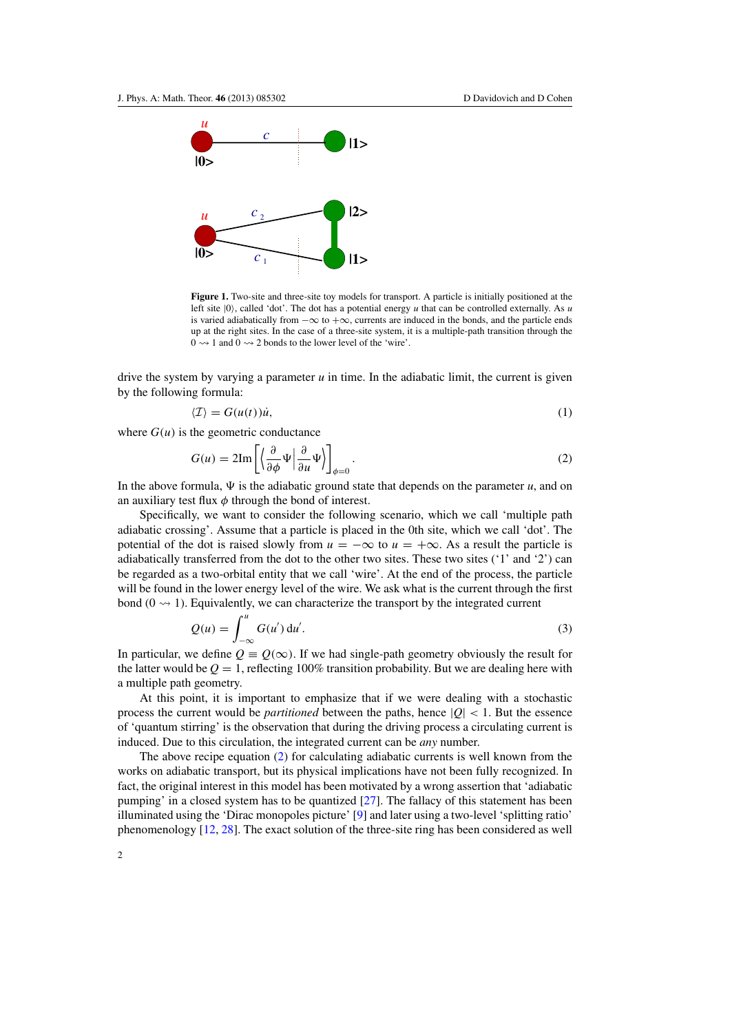<span id="page-1-0"></span>

**Figure 1.** Two-site and three-site toy models for transport. A particle is initially positioned at the left site  $|0\rangle$ , called 'dot'. The dot has a potential energy  $u$  that can be controlled externally. As  $u$ is varied adiabatically from  $-\infty$  to  $+\infty$ , currents are induced in the bonds, and the particle ends up at the right sites. In the case of a three-site system, it is a multiple-path transition through the  $0 \rightarrow 1$  and  $0 \rightarrow 2$  bonds to the lower level of the 'wire'.

drive the system by varying a parameter  $u$  in time. In the adiabatic limit, the current is given by the following formula:

$$
\langle \mathcal{I} \rangle = G(u(t))\dot{u},\tag{1}
$$

where  $G(u)$  is the geometric conductance

$$
G(u) = 2\mathrm{Im}\left[\left\langle \frac{\partial}{\partial \phi} \Psi \middle| \frac{\partial}{\partial u} \Psi \right\rangle \right]_{\phi=0}.
$$
 (2)

In the above formula,  $\Psi$  is the adiabatic ground state that depends on the parameter  $u$ , and on an auxiliary test flux  $\phi$  through the bond of interest.

Specifically, we want to consider the following scenario, which we call 'multiple path adiabatic crossing'. Assume that a particle is placed in the 0th site, which we call 'dot'. The potential of the dot is raised slowly from  $u = -\infty$  to  $u = +\infty$ . As a result the particle is adiabatically transferred from the dot to the other two sites. These two sites ('1' and '2') can be regarded as a two-orbital entity that we call 'wire'. At the end of the process, the particle will be found in the lower energy level of the wire. We ask what is the current through the first bond  $(0 \rightarrow 1)$ . Equivalently, we can characterize the transport by the integrated current

$$
Q(u) = \int_{-\infty}^{u} G(u') du'.
$$
 (3)

In particular, we define  $Q \equiv Q(\infty)$ . If we had single-path geometry obviously the result for the latter would be  $Q = 1$ , reflecting 100% transition probability. But we are dealing here with a multiple path geometry.

At this point, it is important to emphasize that if we were dealing with a stochastic process the current would be *partitioned* between the paths, hence  $|Q| < 1$ . But the essence of 'quantum stirring' is the observation that during the driving process a circulating current is induced. Due to this circulation, the integrated current can be *any* number.

The above recipe equation  $(2)$  for calculating adiabatic currents is well known from the works on adiabatic transport, but its physical implications have not been fully recognized. In fact, the original interest in this model has been motivated by a wrong assertion that 'adiabatic pumping' in a closed system has to be quantized [\[27\]](#page-12-0). The fallacy of this statement has been illuminated using the 'Dirac monopoles picture' [\[9\]](#page-11-0) and later using a two-level 'splitting ratio' phenomenology [\[12,](#page-11-0) [28](#page-12-0)]. The exact solution of the three-site ring has been considered as well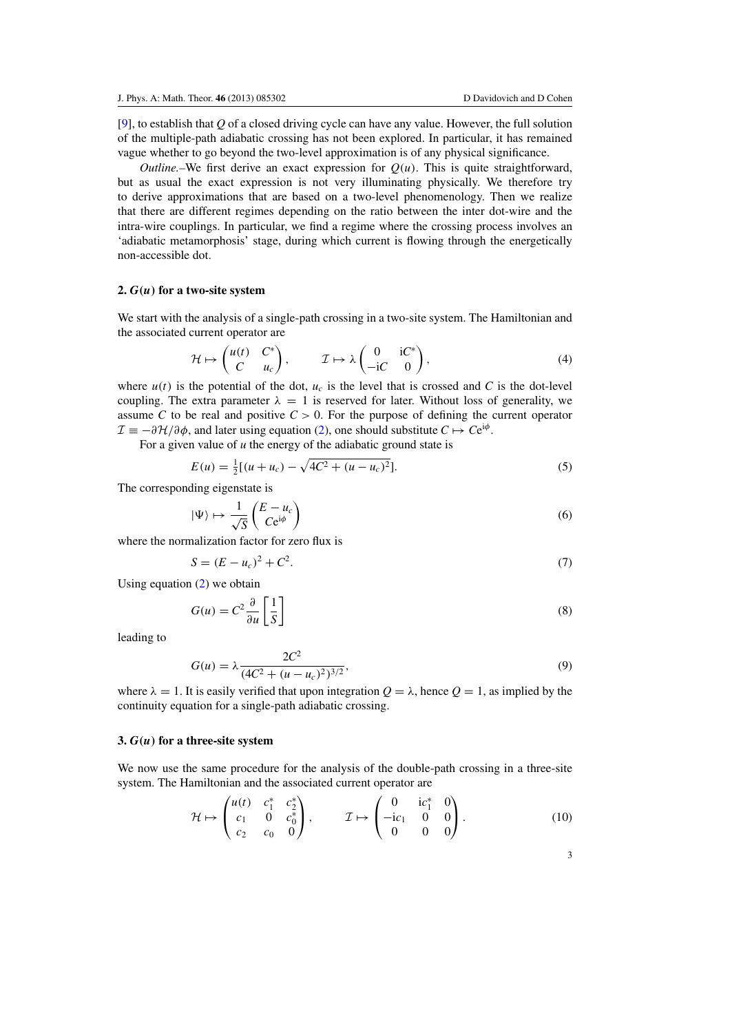<span id="page-2-0"></span>[\[9](#page-11-0)], to establish that *Q* of a closed driving cycle can have any value. However, the full solution of the multiple-path adiabatic crossing has not been explored. In particular, it has remained vague whether to go beyond the two-level approximation is of any physical significance.

*Outline.*–We first derive an exact expression for  $Q(u)$ . This is quite straightforward, but as usual the exact expression is not very illuminating physically. We therefore try to derive approximations that are based on a two-level phenomenology. Then we realize that there are different regimes depending on the ratio between the inter dot-wire and the intra-wire couplings. In particular, we find a regime where the crossing process involves an 'adiabatic metamorphosis' stage, during which current is flowing through the energetically non-accessible dot.

### **2.** *G(u)* **for a two-site system**

We start with the analysis of a single-path crossing in a two-site system. The Hamiltonian and the associated current operator are

$$
\mathcal{H} \mapsto \begin{pmatrix} u(t) & C^* \\ C & u_c \end{pmatrix}, \qquad \mathcal{I} \mapsto \lambda \begin{pmatrix} 0 & iC^* \\ -iC & 0 \end{pmatrix}, \tag{4}
$$

where  $u(t)$  is the potential of the dot,  $u_c$  is the level that is crossed and *C* is the dot-level coupling. The extra parameter  $\lambda = 1$  is reserved for later. Without loss of generality, we assume *C* to be real and positive  $C > 0$ . For the purpose of defining the current operator  $\mathcal{I} \equiv -\partial \mathcal{H}/\partial \phi$ , and later using equation [\(2\)](#page-1-0), one should substitute  $C \mapsto Ce^{i\phi}$ .

For a given value of *u* the energy of the adiabatic ground state is

$$
E(u) = \frac{1}{2}[(u + u_c) - \sqrt{4C^2 + (u - u_c)^2}].
$$
\n(5)

The corresponding eigenstate is

$$
|\Psi\rangle \mapsto \frac{1}{\sqrt{S}} \begin{pmatrix} E - u_c \\ C e^{i\phi} \end{pmatrix} \tag{6}
$$

where the normalization factor for zero flux is

$$
S = (E - u_c)^2 + C^2. \tag{7}
$$

Using equation [\(2\)](#page-1-0) we obtain

$$
G(u) = C^2 \frac{\partial}{\partial u} \left[ \frac{1}{S} \right] \tag{8}
$$

leading to

$$
G(u) = \lambda \frac{2C^2}{(4C^2 + (u - u_c)^2)^{3/2}},
$$
\n(9)

where  $\lambda = 1$ . It is easily verified that upon integration  $Q = \lambda$ , hence  $Q = 1$ , as implied by the continuity equation for a single-path adiabatic crossing.

### **3.** *G(u)* **for a three-site system**

We now use the same procedure for the analysis of the double-path crossing in a three-site system. The Hamiltonian and the associated current operator are

$$
\mathcal{H} \mapsto \begin{pmatrix} u(t) & c_1^* & c_2^* \\ c_1 & 0 & c_0^* \\ c_2 & c_0 & 0 \end{pmatrix}, \qquad \mathcal{I} \mapsto \begin{pmatrix} 0 & ic_1^* & 0 \\ -ic_1 & 0 & 0 \\ 0 & 0 & 0 \end{pmatrix}.
$$
 (10)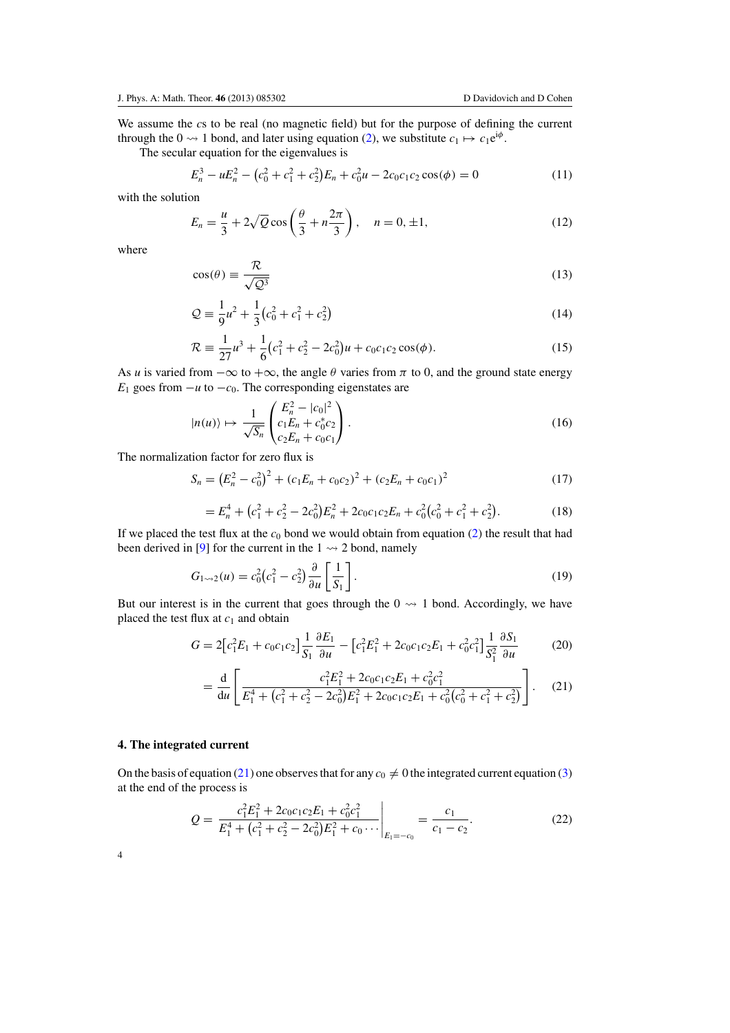<span id="page-3-0"></span>We assume the *c*s to be real (no magnetic field) but for the purpose of defining the current through the  $0 \rightsquigarrow 1$  bond, and later using equation [\(2\)](#page-1-0), we substitute  $c_1 \mapsto c_1 e^{i\phi}$ .

The secular equation for the eigenvalues is

$$
E_n^3 - uE_n^2 - (c_0^2 + c_1^2 + c_2^2)E_n + c_0^2 u - 2c_0 c_1 c_2 \cos(\phi) = 0
$$
 (11)

with the solution

$$
E_n = \frac{u}{3} + 2\sqrt{Q}\cos\left(\frac{\theta}{3} + n\frac{2\pi}{3}\right), \quad n = 0, \pm 1,
$$
 (12)

where

$$
\cos(\theta) \equiv \frac{\mathcal{R}}{\sqrt{\mathcal{Q}^3}}\tag{13}
$$

$$
\mathcal{Q} \equiv \frac{1}{9}u^2 + \frac{1}{3}(c_0^2 + c_1^2 + c_2^2)
$$
 (14)

$$
\mathcal{R} \equiv \frac{1}{27}u^3 + \frac{1}{6}(c_1^2 + c_2^2 - 2c_0^2)u + c_0c_1c_2\cos(\phi). \tag{15}
$$

As *u* is varied from  $-\infty$  to  $+\infty$ , the angle  $\theta$  varies from  $\pi$  to 0, and the ground state energy *E*<sub>1</sub> goes from  $-u$  to  $-c_0$ . The corresponding eigenstates are

$$
|n(u)\rangle \mapsto \frac{1}{\sqrt{S_n}} \begin{pmatrix} E_n^2 - |c_0|^2 \\ c_1 E_n + c_0^* c_2 \\ c_2 E_n + c_0 c_1 \end{pmatrix} . \tag{16}
$$

The normalization factor for zero flux is

$$
S_n = (E_n^2 - c_0^2)^2 + (c_1 E_n + c_0 c_2)^2 + (c_2 E_n + c_0 c_1)^2
$$
\n(17)

$$
= E_n^4 + (c_1^2 + c_2^2 - 2c_0^2)E_n^2 + 2c_0c_1c_2E_n + c_0^2(c_0^2 + c_1^2 + c_2^2). \tag{18}
$$

If we placed the test flux at the  $c_0$  bond we would obtain from equation [\(2\)](#page-1-0) the result that had been derived in [\[9\]](#page-11-0) for the current in the  $1 \rightsquigarrow 2$  bond, namely

$$
G_{1\rightsquigarrow 2}(u) = c_0^2(c_1^2 - c_2^2) \frac{\partial}{\partial u} \left[ \frac{1}{S_1} \right].
$$
\n(19)

But our interest is in the current that goes through the  $0 \rightarrow 1$  bond. Accordingly, we have placed the test flux at  $c_1$  and obtain

$$
G = 2[c_12E_1 + c_0c_1c_2]\frac{1}{S_1}\frac{\partial E_1}{\partial u} - [c_12E_12 + 2c_0c_1c_2E_1 + c_02c_12]\frac{1}{S_12}\frac{\partial S_1}{\partial u}
$$
(20)

$$
= \frac{\mathrm{d}}{\mathrm{d}u} \left[ \frac{c_1^2 E_1^2 + 2c_0 c_1 c_2 E_1 + c_0^2 c_1^2}{E_1^4 + (c_1^2 + c_2^2 - 2c_0^2) E_1^2 + 2c_0 c_1 c_2 E_1 + c_0^2 (c_0^2 + c_1^2 + c_2^2)} \right]. \tag{21}
$$

### **4. The integrated current**

On the basis of equation (21) one observes that for any  $c_0 \neq 0$  the integrated current equation [\(3\)](#page-1-0) at the end of the process is

$$
Q = \left. \frac{c_1^2 E_1^2 + 2c_0 c_1 c_2 E_1 + c_0^2 c_1^2}{E_1^4 + (c_1^2 + c_2^2 - 2c_0^2) E_1^2 + c_0 \cdots} \right|_{E_1 = -c_0} = \frac{c_1}{c_1 - c_2}.
$$
\n(22)

4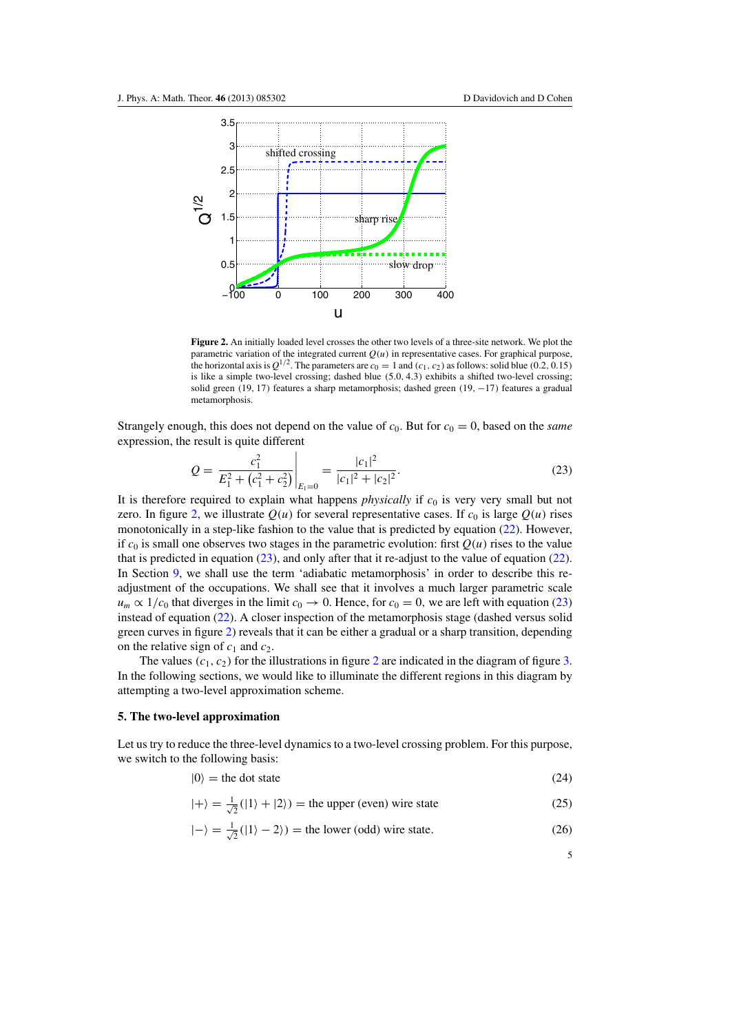<span id="page-4-0"></span>

**Figure 2.** An initially loaded level crosses the other two levels of a three-site network. We plot the parametric variation of the integrated current  $Q(u)$  in representative cases. For graphical purpose, the horizontal axis is  $Q^{1/2}$ . The parameters are  $c_0 = 1$  and  $(c_1, c_2)$  as follows: solid blue (0.2, 0.15) is like a simple two-level crossing; dashed blue (5.0, 4.3) exhibits a shifted two-level crossing; solid green (19, 17) features a sharp metamorphosis; dashed green (19, −17) features a gradual metamorphosis.

Strangely enough, this does not depend on the value of  $c_0$ . But for  $c_0 = 0$ , based on the *same* expression, the result is quite different

$$
Q = \left. \frac{c_1^2}{E_1^2 + (c_1^2 + c_2^2)} \right|_{E_1 = 0} = \frac{|c_1|^2}{|c_1|^2 + |c_2|^2}.
$$
 (23)

It is therefore required to explain what happens *physically* if  $c_0$  is very very small but not zero. In figure 2, we illustrate  $Q(u)$  for several representative cases. If  $c_0$  is large  $Q(u)$  rises monotonically in a step-like fashion to the value that is predicted by equation [\(22\)](#page-3-0). However, if  $c_0$  is small one observes two stages in the parametric evolution: first  $Q(u)$  rises to the value that is predicted in equation  $(23)$ , and only after that it re-adjust to the value of equation  $(22)$ . In Section [9,](#page-8-0) we shall use the term 'adiabatic metamorphosis' in order to describe this readjustment of the occupations. We shall see that it involves a much larger parametric scale  $u_m \propto 1/c_0$  that diverges in the limit  $c_0 \rightarrow 0$ . Hence, for  $c_0 = 0$ , we are left with equation (23) instead of equation [\(22\)](#page-3-0). A closer inspection of the metamorphosis stage (dashed versus solid green curves in figure 2) reveals that it can be either a gradual or a sharp transition, depending on the relative sign of  $c_1$  and  $c_2$ .

The values  $(c_1, c_2)$  for the illustrations in figure 2 are indicated in the diagram of figure [3.](#page-5-0) In the following sections, we would like to illuminate the different regions in this diagram by attempting a two-level approximation scheme.

### **5. The two-level approximation**

Let us try to reduce the three-level dynamics to a two-level crossing problem. For this purpose, we switch to the following basis:

 $|0\rangle$  = the dot state (24)

$$
|+\rangle = \frac{1}{\sqrt{2}}(|1\rangle + |2\rangle) = \text{the upper (even) wire state}
$$
 (25)

$$
|-\rangle = \frac{1}{\sqrt{2}}(|1\rangle - 2\rangle) = \text{the lower (odd) wire state.}
$$
 (26)

5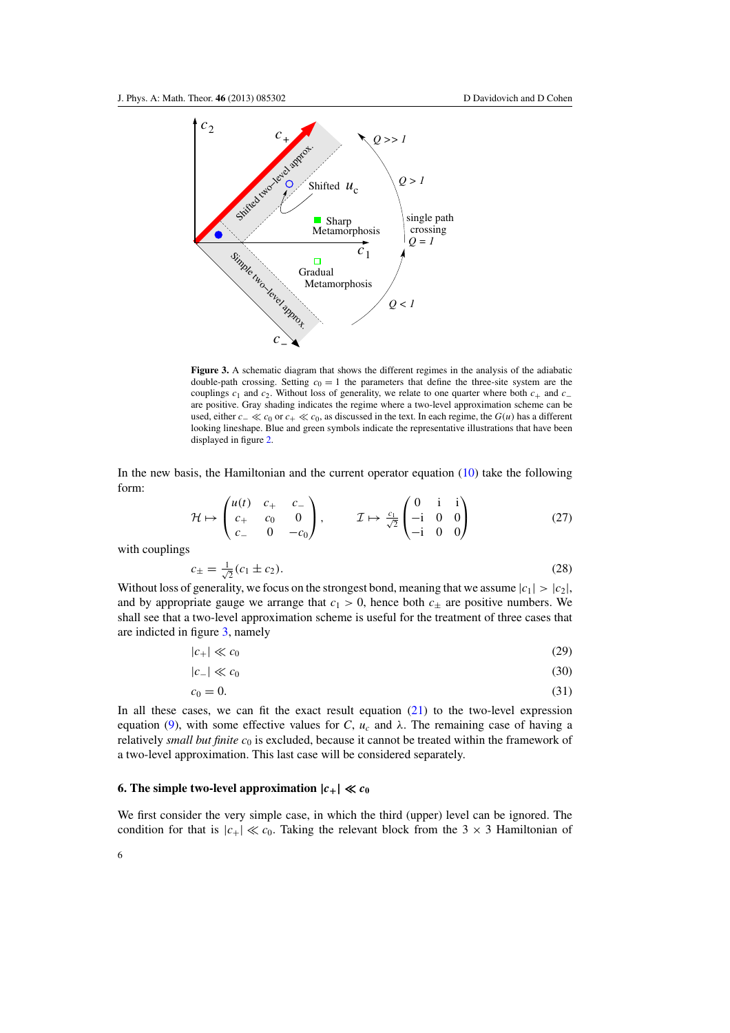<span id="page-5-0"></span>

**Figure 3.** A schematic diagram that shows the different regimes in the analysis of the adiabatic double-path crossing. Setting  $c_0 = 1$  the parameters that define the three-site system are the couplings *c*<sup>1</sup> and *c*2. Without loss of generality, we relate to one quarter where both *c*<sup>+</sup> and *c*<sup>−</sup> are positive. Gray shading indicates the regime where a two-level approximation scheme can be used, either *c*−  $\ll$  *c*<sub>0</sub> or *c*<sub>+</sub>  $\ll$  *c*<sub>0</sub>, as discussed in the text. In each regime, the *G*(*u*) has a different looking lineshape. Blue and green symbols indicate the representative illustrations that have been displayed in figure [2.](#page-4-0)

In the new basis, the Hamiltonian and the current operator equation [\(10\)](#page-2-0) take the following form:

$$
\mathcal{H} \mapsto \begin{pmatrix} u(t) & c_+ & c_- \\ c_+ & c_0 & 0 \\ c_- & 0 & -c_0 \end{pmatrix}, \qquad \mathcal{I} \mapsto \frac{c_1}{\sqrt{2}} \begin{pmatrix} 0 & i & i \\ -i & 0 & 0 \\ -i & 0 & 0 \end{pmatrix}
$$
 (27)

with couplings

$$
c_{\pm} = \frac{1}{\sqrt{2}} (c_1 \pm c_2). \tag{28}
$$

Without loss of generality, we focus on the strongest bond, meaning that we assume  $|c_1| > |c_2|$ , and by appropriate gauge we arrange that  $c_1 > 0$ , hence both  $c_{\pm}$  are positive numbers. We shall see that a two-level approximation scheme is useful for the treatment of three cases that are indicted in figure 3, namely

$$
|c_+| \ll c_0 \tag{29}
$$

$$
|c_{-}| \ll c_0 \tag{30}
$$

$$
c_0 = 0.\t\t(31)
$$

In all these cases, we can fit the exact result equation [\(21\)](#page-3-0) to the two-level expression equation [\(9\)](#page-2-0), with some effective values for *C*,  $u_c$  and  $\lambda$ . The remaining case of having a relatively *small but finite c*<sub>0</sub> is excluded, because it cannot be treated within the framework of a two-level approximation. This last case will be considered separately.

# **6.** The simple two-level approximation  $|c_+| \ll c_0$

We first consider the very simple case, in which the third (upper) level can be ignored. The condition for that is  $|c_+| \ll c_0$ . Taking the relevant block from the 3  $\times$  3 Hamiltonian of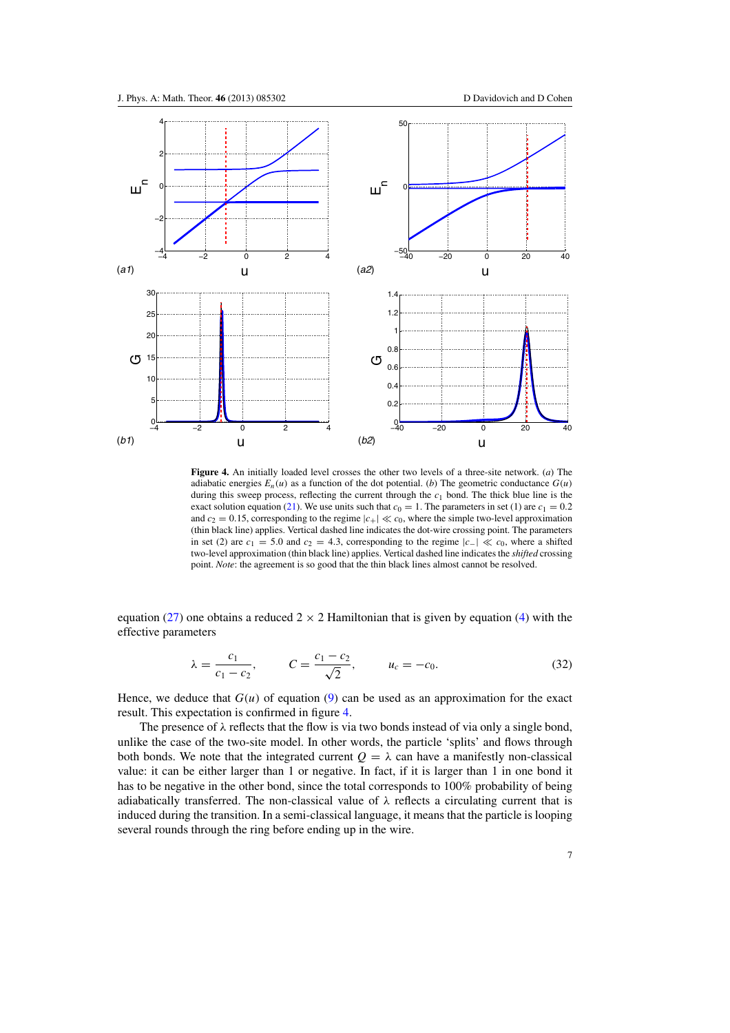<span id="page-6-0"></span>

**Figure 4.** An initially loaded level crosses the other two levels of a three-site network. (*a*) The adiabatic energies  $E_n(u)$  as a function of the dot potential. (*b*) The geometric conductance  $G(u)$ during this sweep process, reflecting the current through the  $c_1$  bond. The thick blue line is the exact solution equation [\(21\)](#page-3-0). We use units such that  $c_0 = 1$ . The parameters in set (1) are  $c_1 = 0.2$ and  $c_2 = 0.15$ , corresponding to the regime  $|c_+| \ll c_0$ , where the simple two-level approximation (thin black line) applies. Vertical dashed line indicates the dot-wire crossing point. The parameters in set (2) are  $c_1 = 5.0$  and  $c_2 = 4.3$ , corresponding to the regime  $|c_-\| \ll c_0$ , where a shifted two-level approximation (thin black line) applies. Vertical dashed line indicates the *shifted* crossing point. *Note*: the agreement is so good that the thin black lines almost cannot be resolved.

equation [\(27\)](#page-5-0) one obtains a reduced  $2 \times 2$  Hamiltonian that is given by equation [\(4\)](#page-2-0) with the effective parameters

$$
\lambda = \frac{c_1}{c_1 - c_2}, \qquad C = \frac{c_1 - c_2}{\sqrt{2}}, \qquad u_c = -c_0.
$$
 (32)

Hence, we deduce that  $G(u)$  of equation [\(9\)](#page-2-0) can be used as an approximation for the exact result. This expectation is confirmed in figure 4.

The presence of  $\lambda$  reflects that the flow is via two bonds instead of via only a single bond, unlike the case of the two-site model. In other words, the particle 'splits' and flows through both bonds. We note that the integrated current  $Q = \lambda$  can have a manifestly non-classical value: it can be either larger than 1 or negative. In fact, if it is larger than 1 in one bond it has to be negative in the other bond, since the total corresponds to 100% probability of being adiabatically transferred. The non-classical value of  $\lambda$  reflects a circulating current that is induced during the transition. In a semi-classical language, it means that the particle is looping several rounds through the ring before ending up in the wire.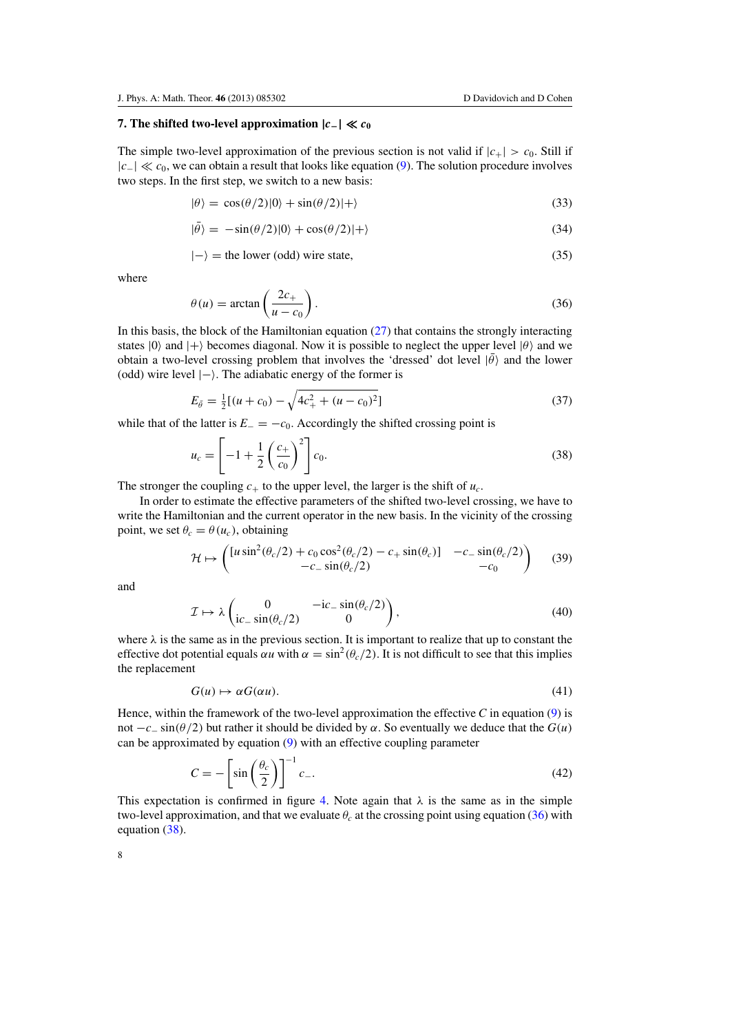# **7.** The shifted two-level approximation  $|c_-\| \ll c_0$

The simple two-level approximation of the previous section is not valid if  $|c_+| > c_0$ . Still if |*c*−| *c*0, we can obtain a result that looks like equation [\(9\)](#page-2-0). The solution procedure involves two steps. In the first step, we switch to a new basis:

$$
|\theta\rangle = \cos(\theta/2)|0\rangle + \sin(\theta/2)|+\rangle
$$
\n(33)

$$
|\bar{\theta}\rangle = -\sin(\theta/2)|0\rangle + \cos(\theta/2)|+\rangle \tag{34}
$$

$$
|-\rangle = \text{the lower (odd) wire state},\tag{35}
$$

where

$$
\theta(u) = \arctan\left(\frac{2c_+}{u - c_0}\right). \tag{36}
$$

In this basis, the block of the Hamiltonian equation [\(27\)](#page-5-0) that contains the strongly interacting states  $|0\rangle$  and  $|+\rangle$  becomes diagonal. Now it is possible to neglect the upper level  $|\theta\rangle$  and we obtain a two-level crossing problem that involves the 'dressed' dot level  $|\theta\rangle$  and the lower (odd) wire level |−-. The adiabatic energy of the former is

$$
E_{\bar{\theta}} = \frac{1}{2} [(u + c_0) - \sqrt{4c_+^2 + (u - c_0)^2}]
$$
\n(37)

while that of the latter is  $E_$  = −*c*<sub>0</sub>. Accordingly the shifted crossing point is

$$
u_c = \left[ -1 + \frac{1}{2} \left( \frac{c_+}{c_0} \right)^2 \right] c_0.
$$
 (38)

The stronger the coupling  $c_+$  to the upper level, the larger is the shift of  $u_c$ .

In order to estimate the effective parameters of the shifted two-level crossing, we have to write the Hamiltonian and the current operator in the new basis. In the vicinity of the crossing point, we set  $\theta_c = \theta(u_c)$ , obtaining

$$
\mathcal{H} \mapsto \begin{pmatrix} [u\sin^2(\theta_c/2) + c_0\cos^2(\theta_c/2) - c_+ \sin(\theta_c)] & -c_- \sin(\theta_c/2) \\ -c_- \sin(\theta_c/2) & -c_0 \end{pmatrix} \tag{39}
$$

and

$$
\mathcal{I} \mapsto \lambda \begin{pmatrix} 0 & -ic_{-} \sin(\theta_{c}/2) \\ ic_{-} \sin(\theta_{c}/2) & 0 \end{pmatrix}, \tag{40}
$$

where  $\lambda$  is the same as in the previous section. It is important to realize that up to constant the effective dot potential equals  $\alpha u$  with  $\alpha = \sin^2(\theta_c/2)$ . It is not difficult to see that this implies the replacement

$$
G(u) \mapsto \alpha G(\alpha u). \tag{41}
$$

Hence, within the framework of the two-level approximation the effective *C* in equation [\(9\)](#page-2-0) is not  $-c_-\sin(\theta/2)$  but rather it should be divided by  $\alpha$ . So eventually we deduce that the  $G(u)$ can be approximated by equation  $(9)$  with an effective coupling parameter

$$
C = -\left[\sin\left(\frac{\theta_c}{2}\right)\right]^{-1}c_{-}.\tag{42}
$$

This expectation is confirmed in figure [4.](#page-6-0) Note again that  $\lambda$  is the same as in the simple two-level approximation, and that we evaluate θ*<sup>c</sup>* at the crossing point using equation (36) with equation (38).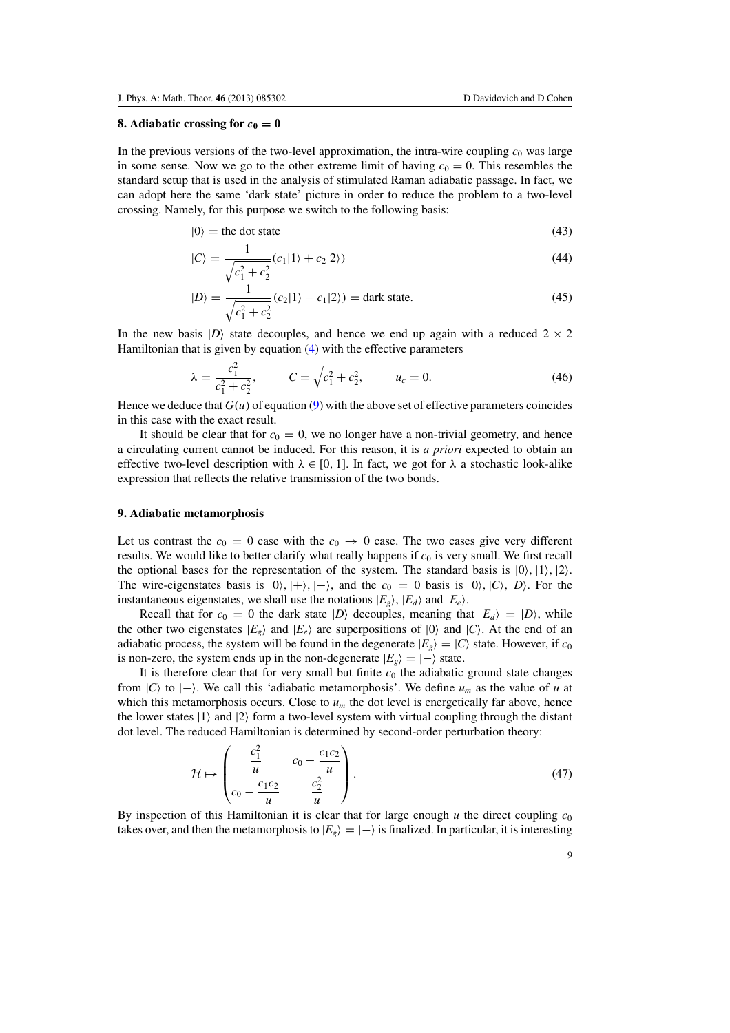### <span id="page-8-0"></span>**8.** Adiabatic crossing for  $c_0 = 0$

In the previous versions of the two-level approximation, the intra-wire coupling  $c<sub>0</sub>$  was large in some sense. Now we go to the other extreme limit of having  $c_0 = 0$ . This resembles the standard setup that is used in the analysis of stimulated Raman adiabatic passage. In fact, we can adopt here the same 'dark state' picture in order to reduce the problem to a two-level crossing. Namely, for this purpose we switch to the following basis:

$$
|0\rangle = \text{the dot state} \tag{43}
$$

$$
|C\rangle = \frac{1}{\sqrt{c_1^2 + c_2^2}} (c_1 | 1 \rangle + c_2 | 2 \rangle)
$$
\n(44)

$$
|D\rangle = \frac{1}{\sqrt{c_1^2 + c_2^2}} (c_2 |1\rangle - c_1 |2\rangle) = \text{dark state.}
$$
 (45)

In the new basis  $|D\rangle$  state decouples, and hence we end up again with a reduced  $2 \times 2$ Hamiltonian that is given by equation [\(4\)](#page-2-0) with the effective parameters

$$
\lambda = \frac{c_1^2}{c_1^2 + c_2^2}, \qquad C = \sqrt{c_1^2 + c_2^2}, \qquad u_c = 0.
$$
 (46)

Hence we deduce that  $G(u)$  of equation [\(9\)](#page-2-0) with the above set of effective parameters coincides in this case with the exact result.

It should be clear that for  $c_0 = 0$ , we no longer have a non-trivial geometry, and hence a circulating current cannot be induced. For this reason, it is *a priori* expected to obtain an effective two-level description with  $\lambda \in [0, 1]$ . In fact, we got for  $\lambda$  a stochastic look-alike expression that reflects the relative transmission of the two bonds.

#### **9. Adiabatic metamorphosis**

Let us contrast the  $c_0 = 0$  case with the  $c_0 \rightarrow 0$  case. The two cases give very different results. We would like to better clarify what really happens if  $c<sub>0</sub>$  is very small. We first recall the optional bases for the representation of the system. The standard basis is  $|0\rangle, |1\rangle, |2\rangle$ . The wire-eigenstates basis is  $|0\rangle, |+\rangle, |-\rangle$ , and the  $c_0 = 0$  basis is  $|0\rangle, |C\rangle, |D\rangle$ . For the instantaneous eigenstates, we shall use the notations  $|E_g\rangle$ ,  $|E_d\rangle$  and  $|E_e\rangle$ .

Recall that for  $c_0 = 0$  the dark state  $|D\rangle$  decouples, meaning that  $|E_d\rangle = |D\rangle$ , while the other two eigenstates  $|E_g\rangle$  and  $|E_e\rangle$  are superpositions of  $|0\rangle$  and  $|C\rangle$ . At the end of an adiabatic process, the system will be found in the degenerate  $|E_g\rangle = |C\rangle$  state. However, if  $c_0$ is non-zero, the system ends up in the non-degenerate  $|E_g\rangle = |-\rangle$  state.

It is therefore clear that for very small but finite  $c<sub>0</sub>$  the adiabatic ground state changes from  $|C\rangle$  to  $|-\rangle$ . We call this 'adiabatic metamorphosis'. We define  $u_m$  as the value of *u* at which this metamorphosis occurs. Close to  $u<sub>m</sub>$  the dot level is energetically far above, hence the lower states  $|1\rangle$  and  $|2\rangle$  form a two-level system with virtual coupling through the distant dot level. The reduced Hamiltonian is determined by second-order perturbation theory:

$$
\mathcal{H} \mapsto \begin{pmatrix} \frac{c_1^2}{u} & c_0 - \frac{c_1 c_2}{u} \\ c_0 - \frac{c_1 c_2}{u} & \frac{c_2^2}{u} \end{pmatrix} . \tag{47}
$$

By inspection of this Hamiltonian it is clear that for large enough  $u$  the direct coupling  $c_0$ takes over, and then the metamorphosis to  $|E_g\rangle = |-\rangle$  is finalized. In particular, it is interesting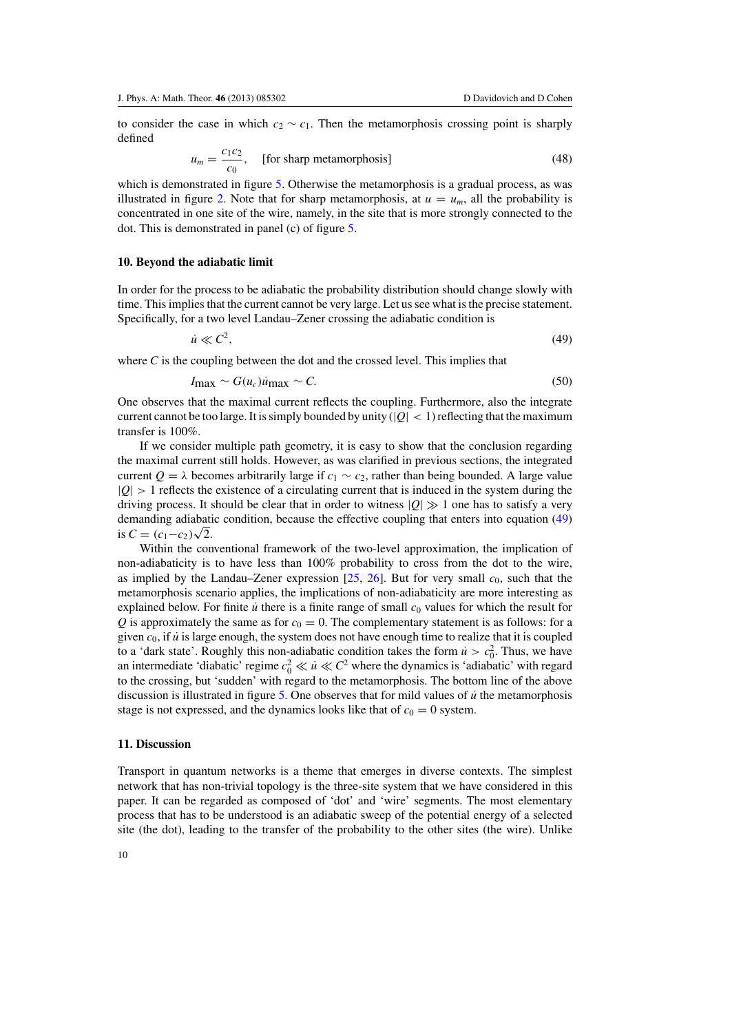to consider the case in which  $c_2 \sim c_1$ . Then the metamorphosis crossing point is sharply defined

$$
u_m = \frac{c_1 c_2}{c_0}, \quad \text{[for sharp metamorphosis]}
$$
 (48)

which is demonstrated in figure [5.](#page-10-0) Otherwise the metamorphosis is a gradual process, as was illustrated in figure [2.](#page-4-0) Note that for sharp metamorphosis, at  $u = u_m$ , all the probability is concentrated in one site of the wire, namely, in the site that is more strongly connected to the dot. This is demonstrated in panel (c) of figure [5.](#page-10-0)

### **10. Beyond the adiabatic limit**

In order for the process to be adiabatic the probability distribution should change slowly with time. This implies that the current cannot be very large. Let us see what is the precise statement. Specifically, for a two level Landau–Zener crossing the adiabatic condition is

$$
\dot{u} \ll C^2,\tag{49}
$$

where  $C$  is the coupling between the dot and the crossed level. This implies that

$$
I_{\text{max}} \sim G(u_c) \dot{u}_{\text{max}} \sim C. \tag{50}
$$

One observes that the maximal current reflects the coupling. Furthermore, also the integrate current cannot be too large. It is simply bounded by unity  $(|O| < 1)$  reflecting that the maximum transfer is 100%.

If we consider multiple path geometry, it is easy to show that the conclusion regarding the maximal current still holds. However, as was clarified in previous sections, the integrated current  $Q = \lambda$  becomes arbitrarily large if  $c_1 \sim c_2$ , rather than being bounded. A large value  $|Q| > 1$  reflects the existence of a circulating current that is induced in the system during the driving process. It should be clear that in order to witness  $|Q| \gg 1$  one has to satisfy a very demanding adiabatic condition, because the effective coupling that enters into equation (49) is  $C = (c_1 - c_2)\sqrt{2}$ .

Within the conventional framework of the two-level approximation, the implication of non-adiabaticity is to have less than 100% probability to cross from the dot to the wire, as implied by the Landau–Zener expression [\[25](#page-12-0), [26](#page-12-0)]. But for very small *c*0, such that the metamorphosis scenario applies, the implications of non-adiabaticity are more interesting as explained below. For finite  $\dot{u}$  there is a finite range of small  $c_0$  values for which the result for  $Q$  is approximately the same as for  $c_0 = 0$ . The complementary statement is as follows: for a given  $c_0$ , if  $\dot{u}$  is large enough, the system does not have enough time to realize that it is coupled to a 'dark state'. Roughly this non-adiabatic condition takes the form  $\dot{u} > c_0^2$ . Thus, we have an intermediate 'diabatic' regime  $c_0^2 \ll u \ll C^2$  where the dynamics is 'adiabatic' with regard to the crossing, but 'sudden' with regard to the metamorphosis. The bottom line of the above discussion is illustrated in figure [5.](#page-10-0) One observes that for mild values of *u*˙ the metamorphosis stage is not expressed, and the dynamics looks like that of  $c_0 = 0$  system.

### **11. Discussion**

Transport in quantum networks is a theme that emerges in diverse contexts. The simplest network that has non-trivial topology is the three-site system that we have considered in this paper. It can be regarded as composed of 'dot' and 'wire' segments. The most elementary process that has to be understood is an adiabatic sweep of the potential energy of a selected site (the dot), leading to the transfer of the probability to the other sites (the wire). Unlike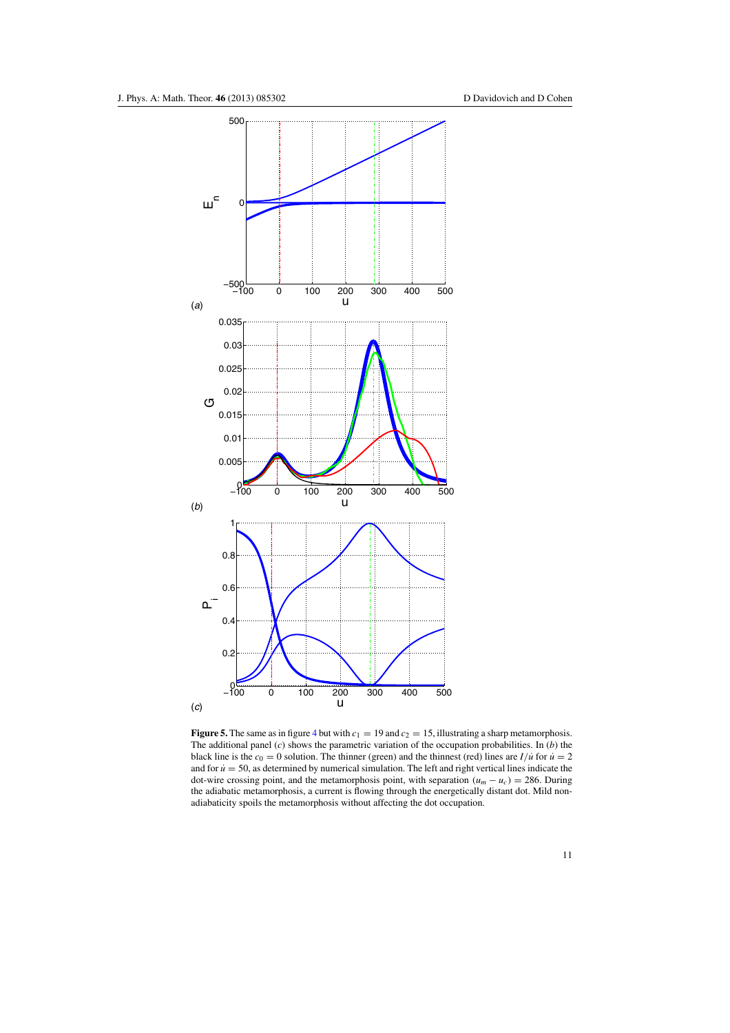<span id="page-10-0"></span>

**Figure 5.** The same as in figure [4](#page-6-0) but with  $c_1 = 19$  and  $c_2 = 15$ , illustrating a sharp metamorphosis.<br>The additional panel (*c*) shows the parametric variation of the occupation probabilities. In (*b*) the black line is the  $c_0 = 0$  solution. The thinner (green) and the thinnest (red) lines are  $I/\dot{u}$  for  $\dot{u} = 2$ and for  $\dot{u} = 50$ , as determined by numerical simulation. The left and right vertical lines indicate the dot-wire crossing point, and the metamorphosis point, with separation  $(u_m - u_c) = 286$ . During the adiabatic metamorphosis, a current is flowing through the energetically distant dot. Mild nonadiabaticity spoils the metamorphosis without affecting the dot occupation.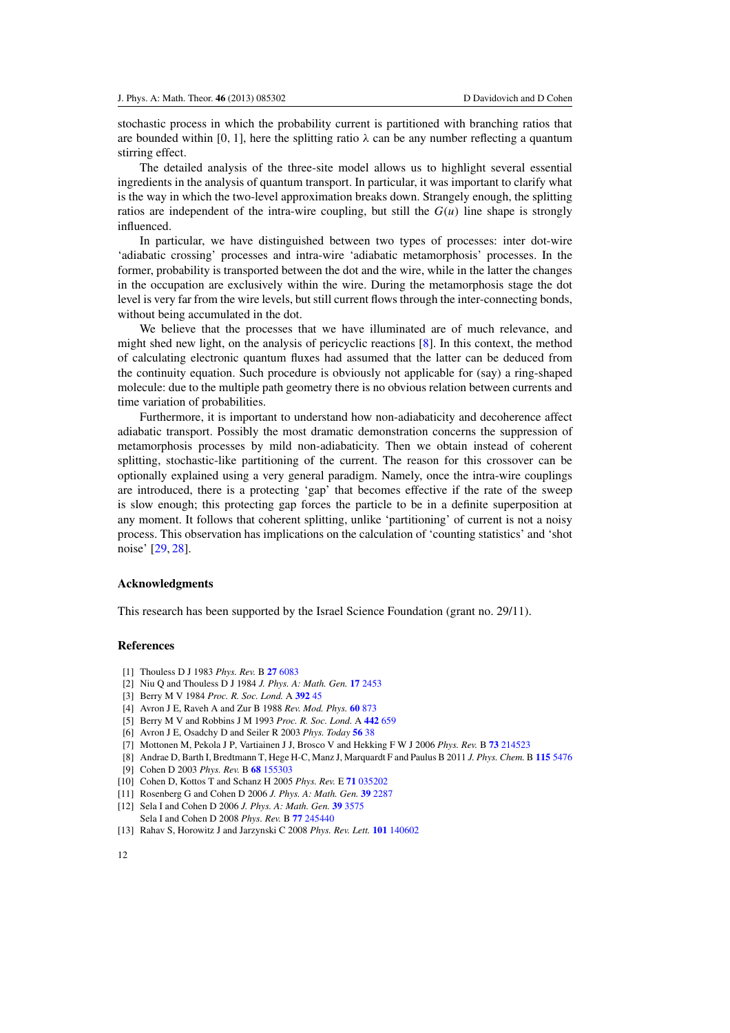<span id="page-11-0"></span>stochastic process in which the probability current is partitioned with branching ratios that are bounded within [0, 1], here the splitting ratio  $\lambda$  can be any number reflecting a quantum stirring effect.

The detailed analysis of the three-site model allows us to highlight several essential ingredients in the analysis of quantum transport. In particular, it was important to clarify what is the way in which the two-level approximation breaks down. Strangely enough, the splitting ratios are independent of the intra-wire coupling, but still the  $G(u)$  line shape is strongly influenced.

In particular, we have distinguished between two types of processes: inter dot-wire 'adiabatic crossing' processes and intra-wire 'adiabatic metamorphosis' processes. In the former, probability is transported between the dot and the wire, while in the latter the changes in the occupation are exclusively within the wire. During the metamorphosis stage the dot level is very far from the wire levels, but still current flows through the inter-connecting bonds, without being accumulated in the dot.

We believe that the processes that we have illuminated are of much relevance, and might shed new light, on the analysis of pericyclic reactions [8]. In this context, the method of calculating electronic quantum fluxes had assumed that the latter can be deduced from the continuity equation. Such procedure is obviously not applicable for (say) a ring-shaped molecule: due to the multiple path geometry there is no obvious relation between currents and time variation of probabilities.

Furthermore, it is important to understand how non-adiabaticity and decoherence affect adiabatic transport. Possibly the most dramatic demonstration concerns the suppression of metamorphosis processes by mild non-adiabaticity. Then we obtain instead of coherent splitting, stochastic-like partitioning of the current. The reason for this crossover can be optionally explained using a very general paradigm. Namely, once the intra-wire couplings are introduced, there is a protecting 'gap' that becomes effective if the rate of the sweep is slow enough; this protecting gap forces the particle to be in a definite superposition at any moment. It follows that coherent splitting, unlike 'partitioning' of current is not a noisy process. This observation has implications on the calculation of 'counting statistics' and 'shot noise' [\[29](#page-12-0), [28](#page-12-0)].

### **Acknowledgments**

This research has been supported by the Israel Science Foundation (grant no. 29/11).

#### **References**

- [1] Thouless D J 1983 *Phys. Rev.* B **27** [6083](http://dx.doi.org/10.1103/PhysRevB.27.6083)
- [2] Niu Q and Thouless D J 1984 *J. Phys. A: Math. Gen.* **17** [2453](http://dx.doi.org/10.1088/0305-4470/17/12/016)
- [3] Berry M V 1984 *Proc. R. Soc. Lond.* A **[392](http://dx.doi.org/10.1098/rspa.1984.0023)** 45
- [4] Avron J E, Raveh A and Zur B 1988 *Rev. Mod. Phys.* **60** [873](http://dx.doi.org/10.1103/RevModPhys.60.873)
- [5] Berry M V and Robbins J M 1993 *Proc. R. Soc. Lond.* A **[442](http://dx.doi.org/10.1098/rspa.1993.0127)** 659
- [6] Avron J E, Osadchy D and Seiler R 2003 *Phys. Today* **[56](http://dx.doi.org/10.1063/1.1611351)** 38
- [7] Mottonen M, Pekola J P, Vartiainen J J, Brosco V and Hekking F W J 2006 *Phys. Rev.* B **73** [214523](http://dx.doi.org/10.1103/PhysRevB.73.214523)
- [8] Andrae D, Barth I, Bredtmann T, Hege H-C, Manz J, Marquardt F and Paulus B 2011 *J. Phys. Chem.* B **115** [5476](http://dx.doi.org/10.1021/jp110365g)
- [9] Cohen D 2003 *Phys. Rev.* B **68** [155303](http://dx.doi.org/10.1103/PhysRevB.68.155303)
- [10] Cohen D, Kottos T and Schanz H 2005 *Phys. Rev.* E **71** [035202](http://dx.doi.org/10.1103/PhysRevE.71.035202)
- [11] Rosenberg G and Cohen D 2006 *J. Phys. A: Math. Gen.* **39** [2287](http://dx.doi.org/10.1088/0305-4470/39/10/004)
- [12] Sela I and Cohen D 2006 *J. Phys. A: Math. Gen.* **39** [3575](http://dx.doi.org/10.1088/0305-4470/39/14/006)
	- Sela I and Cohen D 2008 *Phys. Rev.* B **77** [245440](http://dx.doi.org/10.1103/PhysRevB.77.245440)
- [13] Rahav S, Horowitz J and Jarzynski C 2008 *Phys. Rev. Lett.* **101** [140602](http://dx.doi.org/10.1103/PhysRevLett.101.140602)